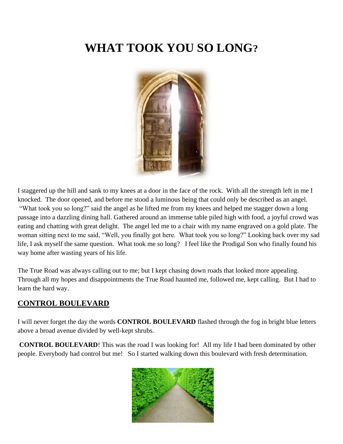# **WHAT TOOK YOU SO LONG?**



I staggered up the hill and sank to my knees at a door in the face of the rock. With all the strength left in me I knocked. The door opened, and before me stood a luminous being that could only be described as an angel. "What took you so long?" said the angel as he lifted me from my knees and helped me stagger down a long passage into a dazzling dining hall. Gathered around an immense table piled high with food, a joyful crowd was eating and chatting with great delight. The angel led me to a chair with my name engraved on a gold plate. The woman sitting next to me said, "Well, you finally got here. What took you so long?" Looking back over my sad life, I ask myself the same question. What took me so long? I feel like the Prodigal Son who finally found his way home after wasting years of his life.

The True Road was always calling out to me; but I kept chasing down roads that looked more appealing. Through all my hopes and disappointments the True Road haunted me, followed me, kept calling. But I had to learn the hard way.

# **CONTROL BOULEVARD**

I will never forget the day the words **CONTROL BOULEVARD** flashed through the fog in bright blue letters above a broad avenue divided by well-kept shrubs.

**CONTROL BOULEVARD**! This was the road I was looking for! All my life I had been dominated by other people. Everybody had control but me! So I started walking down this boulevard with fresh determination.

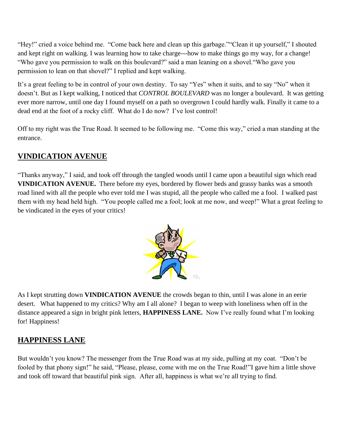"Hey!" cried a voice behind me. "Come back here and clean up this garbage.""Clean it up yourself," I shouted and kept right on walking. I was learning how to take charge---how to make things go my way, for a change! "Who gave you permission to walk on this boulevard?" said a man leaning on a shovel."Who gave you permission to lean on that shovel?" I replied and kept walking.

It's a great feeling to be in control of your own destiny. To say "Yes" when it suits, and to say "No" when it doesn't. But as I kept walking, I noticed that *CONTROL BOULEVARD* was no longer a boulevard. It was getting ever more narrow, until one day I found myself on a path so overgrown I could hardly walk. Finally it came to a dead end at the foot of a rocky cliff. What do I do now? I've lost control!

Off to my right was the True Road. It seemed to be following me. "Come this way," cried a man standing at the entrance.

# **VINDICATION AVENUE**

"Thanks anyway," I said, and took off through the tangled woods until I came upon a beautiful sign which read **VINDICATION AVENUE.** There before my eyes, bordered by flower beds and grassy banks was a smooth road lined with all the people who ever told me I was stupid, all the people who called me a fool. I walked past them with my head held high. "You people called me a fool; look at me now, and weep!" What a great feeling to be vindicated in the eyes of your critics!



As I kept strutting down **VINDICATION AVENUE** the crowds began to thin, until I was alone in an eerie desert. What happened to my critics? Why am I all alone? I began to weep with loneliness when off in the distance appeared a sign in bright pink letters, **HAPPINESS LANE.** Now I've really found what I'm looking for! Happiness!

# **HAPPINESS LANE**

But wouldn't you know? The messenger from the True Road was at my side, pulling at my coat. "Don't be fooled by that phony sign!" he said, "Please, please, come with me on the True Road!"I gave him a little shove and took off toward that beautiful pink sign. After all, happiness is what we're all trying to find.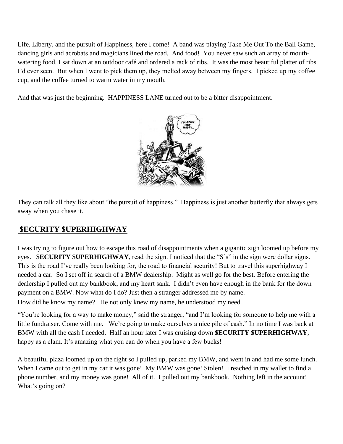Life, Liberty, and the pursuit of Happiness, here I come! A band was playing Take Me Out To the Ball Game, dancing girls and acrobats and magicians lined the road. And food! You never saw such an array of mouthwatering food. I sat down at an outdoor café and ordered a rack of ribs. It was the most beautiful platter of ribs I'd ever seen. But when I went to pick them up, they melted away between my fingers. I picked up my coffee cup, and the coffee turned to warm water in my mouth.

And that was just the beginning. HAPPINESS LANE turned out to be a bitter disappointment.



They can talk all they like about "the pursuit of happiness." Happiness is just another butterfly that always gets away when you chase it.

# **\$ECURITY \$UPERHIGHWAY**

I was trying to figure out how to escape this road of disappointments when a gigantic sign loomed up before my eyes. **\$ECURITY \$UPERHIGHWAY**, read the sign. I noticed that the "S's" in the sign were dollar signs. This is the road I've really been looking for, the road to financial security! But to travel this superhighway I needed a car. So I set off in search of a BMW dealership. Might as well go for the best. Before entering the dealership I pulled out my bankbook, and my heart sank. I didn't even have enough in the bank for the down payment on a BMW. Now what do I do? Just then a stranger addressed me by name. How did he know my name? He not only knew my name, he understood my need.

"You're looking for a way to make money," said the stranger, "and I'm looking for someone to help me with a little fundraiser. Come with me. We're going to make ourselves a nice pile of cash." In no time I was back at BMW with all the cash I needed. Half an hour later I was cruising down **\$ECURITY \$UPERHIGHWAY**, happy as a clam. It's amazing what you can do when you have a few bucks!

A beautiful plaza loomed up on the right so I pulled up, parked my BMW, and went in and had me some lunch. When I came out to get in my car it was gone! My BMW was gone! Stolen! I reached in my wallet to find a phone number, and my money was gone! All of it. I pulled out my bankbook. Nothing left in the account! What's going on?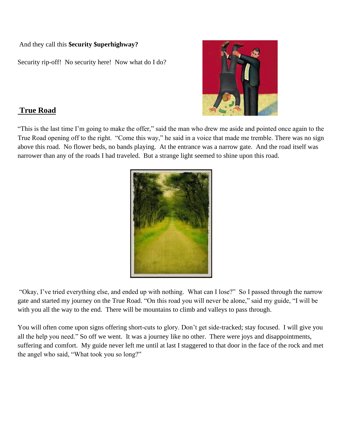#### And they call this **\$ecurity \$uperhighway?**

Security rip-off! No security here! Now what do I do?



### **True Road**

"This is the last time I'm going to make the offer," said the man who drew me aside and pointed once again to the True Road opening off to the right. "Come this way," he said in a voice that made me tremble. There was no sign above this road. No flower beds, no bands playing. At the entrance was a narrow gate. And the road itself was narrower than any of the roads I had traveled. But a strange light seemed to shine upon this road.



"Okay, I've tried everything else, and ended up with nothing. What can I lose?" So I passed through the narrow gate and started my journey on the True Road. "On this road you will never be alone," said my guide, "I will be with you all the way to the end. There will be mountains to climb and valleys to pass through.

You will often come upon signs offering short-cuts to glory. Don't get side-tracked; stay focused. I will give you all the help you need." So off we went. It was a journey like no other. There were joys and disappointments, suffering and comfort. My guide never left me until at last I staggered to that door in the face of the rock and met the angel who said, "What took you so long?"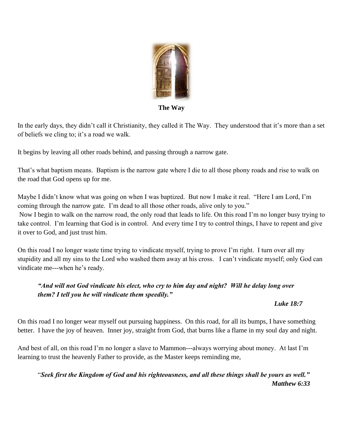

**The Way**

In the early days, they didn't call it Christianity, they called it The Way. They understood that it's more than a set of beliefs we cling to; it's a road we walk.

It begins by leaving all other roads behind, and passing through a narrow gate.

That's what baptism means. Baptism is the narrow gate where I die to all those phony roads and rise to walk on the road that God opens up for me.

Maybe I didn't know what was going on when I was baptized. But now I make it real. "Here I am Lord, I'm coming through the narrow gate. I'm dead to all those other roads, alive only to you."

Now I begin to walk on the narrow road, the only road that leads to life. On this road I'm no longer busy trying to take control. I'm learning that God is in control. And every time I try to control things, I have to repent and give it over to God, and just trust him.

On this road I no longer waste time trying to vindicate myself, trying to prove I'm right. I turn over all my stupidity and all my sins to the Lord who washed them away at his cross. I can't vindicate myself; only God can vindicate me---when he's ready.

### *"And will not God vindicate his elect, who cry to him day and night? Will he delay long over them? I tell you he will vindicate them speedily."*

### *Luke 18:7*

On this road I no longer wear myself out pursuing happiness. On this road, for all its bumps, I have something better. I have the joy of heaven. Inner joy, straight from God, that burns like a flame in my soul day and night.

And best of all, on this road I'm no longer a slave to Mammon---always worrying about money. At last I'm learning to trust the heavenly Father to provide, as the Master keeps reminding me,

"*Seek first the Kingdom of God and his righteousness, and all these things shall be yours as well." Matthew 6:33*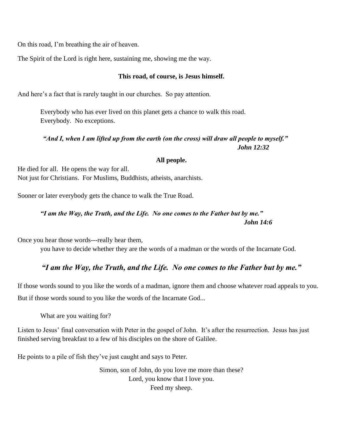On this road, I'm breathing the air of heaven.

The Spirit of the Lord is right here, sustaining me, showing me the way.

#### **This road, of course, is Jesus himself.**

And here's a fact that is rarely taught in our churches. So pay attention.

Everybody who has ever lived on this planet gets a chance to walk this road. Everybody. No exceptions.

#### *"And I, when I am lifted up from the earth (on the cross) will draw all people to myself." John 12:32*

#### **All people.**

He died for all. He opens the way for all. Not just for Christians. For Muslims, Buddhists, atheists, anarchists.

Sooner or later everybody gets the chance to walk the True Road.

### *"I am the Way, the Truth, and the Life. No one comes to the Father but by me." John 14:6*

Once you hear those words---really hear them,

you have to decide whether they are the words of a madman or the words of the Incarnate God.

#### *"I am the Way, the Truth, and the Life. No one comes to the Father but by me."*

If those words sound to you like the words of a madman, ignore them and choose whatever road appeals to you. But if those words sound to you like the words of the Incarnate God...

What are you waiting for?

Listen to Jesus' final conversation with Peter in the gospel of John. It's after the resurrection. Jesus has just finished serving breakfast to a few of his disciples on the shore of Galilee.

He points to a pile of fish they've just caught and says to Peter.

Simon, son of John, do you love me more than these? Lord, you know that I love you. Feed my sheep.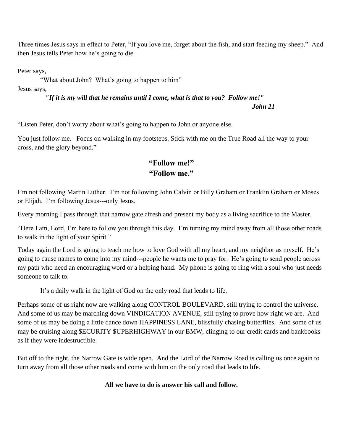Three times Jesus says in effect to Peter, "If you love me, forget about the fish, and start feeding my sheep." And then Jesus tells Peter how he's going to die.

Peter says,

"What about John? What's going to happen to him"

Jesus says,

*"If it is my will that he remains until I come, what is that to you? Follow me!"*

*John 21*

"Listen Peter, don't worry about what's going to happen to John or anyone else.

You just follow me. Focus on walking in my footsteps. Stick with me on the True Road all the way to your cross, and the glory beyond."

### **"Follow me!" "Follow me."**

I'm not following Martin Luther. I'm not following John Calvin or Billy Graham or Franklin Graham or Moses or Elijah. I'm following Jesus---only Jesus.

Every morning I pass through that narrow gate afresh and present my body as a living sacrifice to the Master.

"Here I am, Lord, I'm here to follow you through this day. I'm turning my mind away from all those other roads to walk in the light of your Spirit."

Today again the Lord is going to teach me how to love God with all my heart, and my neighbor as myself. He's going to cause names to come into my mind---people he wants me to pray for. He's going to send people across my path who need an encouraging word or a helping hand. My phone is going to ring with a soul who just needs someone to talk to.

It's a daily walk in the light of God on the only road that leads to life.

Perhaps some of us right now are walking along CONTROL BOULEVARD, still trying to control the universe. And some of us may be marching down VINDICATION AVENUE, still trying to prove how right we are. And some of us may be doing a little dance down HAPPINESS LANE, blissfully chasing butterflies. And some of us may be cruising along \$ECURITY \$UPERHIGHWAY in our BMW, clinging to our credit cards and bankbooks as if they were indestructible.

But off to the right, the Narrow Gate is wide open. And the Lord of the Narrow Road is calling us once again to turn away from all those other roads and come with him on the only road that leads to life.

### **All we have to do is answer his call and follow.**